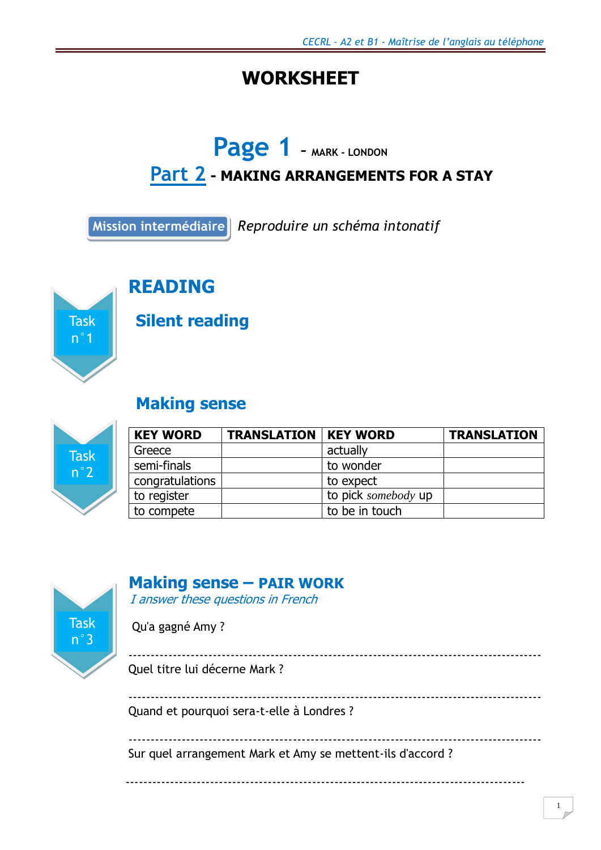## **WORKSHEET**

# **Page 1 – MARK - LONDON**

## **Part 2 - MAKING ARRANGEMENTS FOR A STAY**

**Mission intermédiaire** *Reproduire un schéma intonatif*



## **READING**

### **Silent reading**

## **Making sense**



| <b>KEY WORD</b> | <b>TRANSLATION   KEY WORD</b> |                     | <b>TRANSLATION</b> |
|-----------------|-------------------------------|---------------------|--------------------|
| Greece          |                               | actually            |                    |
| semi-finals     |                               | to wonder           |                    |
| congratulations |                               | to expect           |                    |
| to register     |                               | to pick somebody up |                    |
| to compete      |                               | to be in touch      |                    |



### **Making sense – PAIR WORK**

I answer these questions in French

Qu'a gagné Amy ?

 --------------------------------------------------------------------------------------------- Quel titre lui décerne Mark ?

--------------------------------------------------------------------------------------------- Quand et pourquoi sera-t-elle à Londres ?

---------------------------------------------------------------------------------------------

------------------------------------------------------------------------------------------

Sur quel arrangement Mark et Amy se mettent-ils d'accord ?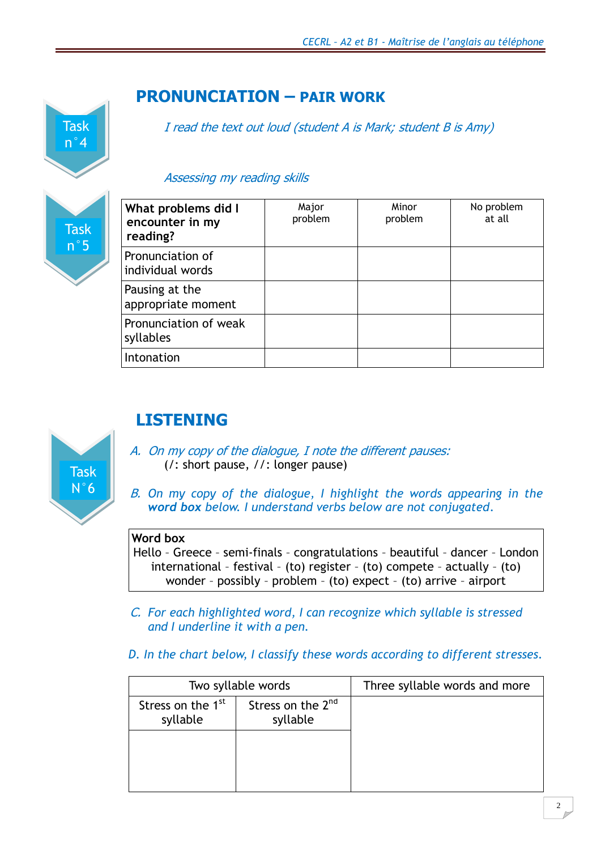

### **PRONUNCIATION – PAIR WORK**

I read the text out loud (student A is Mark; student B is Amy)

#### Assessing my reading skills

| What problems did I<br>encounter in my<br>reading? | Major<br>problem | Minor<br>problem | No problem<br>at all |
|----------------------------------------------------|------------------|------------------|----------------------|
| Pronunciation of<br>individual words               |                  |                  |                      |
| Pausing at the<br>appropriate moment               |                  |                  |                      |
| Pronunciation of weak<br>syllables                 |                  |                  |                      |
| Intonation                                         |                  |                  |                      |



## **LISTENING**

- A. On my copy of the dialogue, I note the different pauses: (/: short pause, //: longer pause)
- B. *On my copy of the dialogue, I highlight the words appearing in the word box below. I understand verbs below are not conjugated*.

#### **Word box**

Hello – Greece – semi-finals – congratulations – beautiful – dancer – London international – festival – (to) register – (to) compete – actually – (to) wonder – possibly – problem – (to) expect – (to) arrive – airport

- C. *For each highlighted word, I can recognize which syllable is stressed and I underline it with a pen.*
- *D. In the chart below, I classify these words according to different stresses.*

|                                           | Two syllable words                        | Three syllable words and more |
|-------------------------------------------|-------------------------------------------|-------------------------------|
| Stress on the 1 <sup>st</sup><br>syllable | Stress on the 2 <sup>nd</sup><br>syllable |                               |
|                                           |                                           |                               |
|                                           |                                           |                               |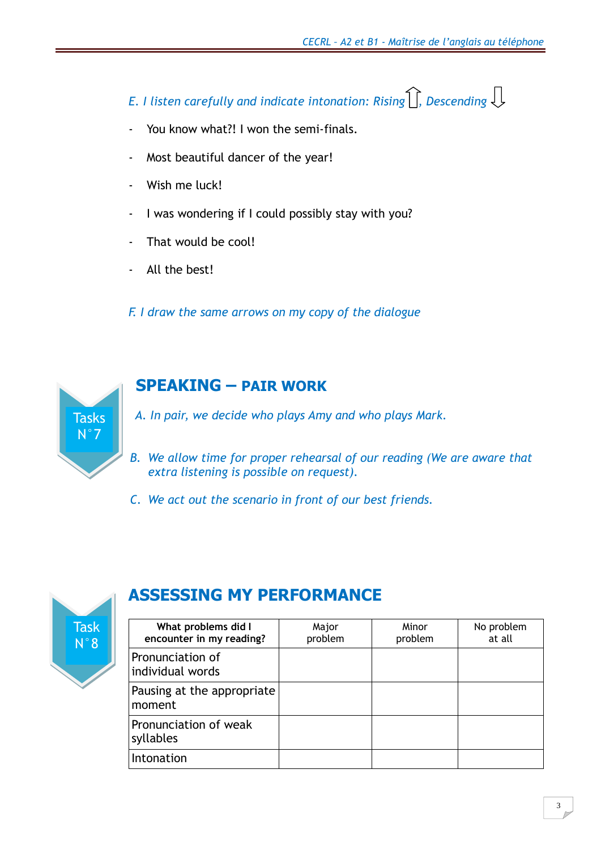*E. I listen carefully and indicate intonation: Rising*  $\iiint$ , *Descending*  $\iint$ 

- You know what?! I won the semi-finals.
- Most beautiful dancer of the year!
- Wish me luck!
- I was wondering if I could possibly stay with you?
- That would be cool!
- All the best!

*F. I draw the same arrows on my copy of the dialogue*



### **SPEAKING – PAIR WORK**

A *A. In pair, we decide who plays Amy and who plays Mark.*

- *B. We allow time for proper rehearsal of our reading (We are aware that extra listening is possible on request).*
- *C. We act out the scenario in front of our best friends.*



## **ASSESSING MY PERFORMANCE**

| What problems did I<br>encounter in my reading? | Major<br>problem | Minor<br>problem | No problem<br>at all |
|-------------------------------------------------|------------------|------------------|----------------------|
| Pronunciation of<br>individual words            |                  |                  |                      |
| Pausing at the appropriate<br>moment            |                  |                  |                      |
| Pronunciation of weak<br>syllables              |                  |                  |                      |
| Intonation                                      |                  |                  |                      |